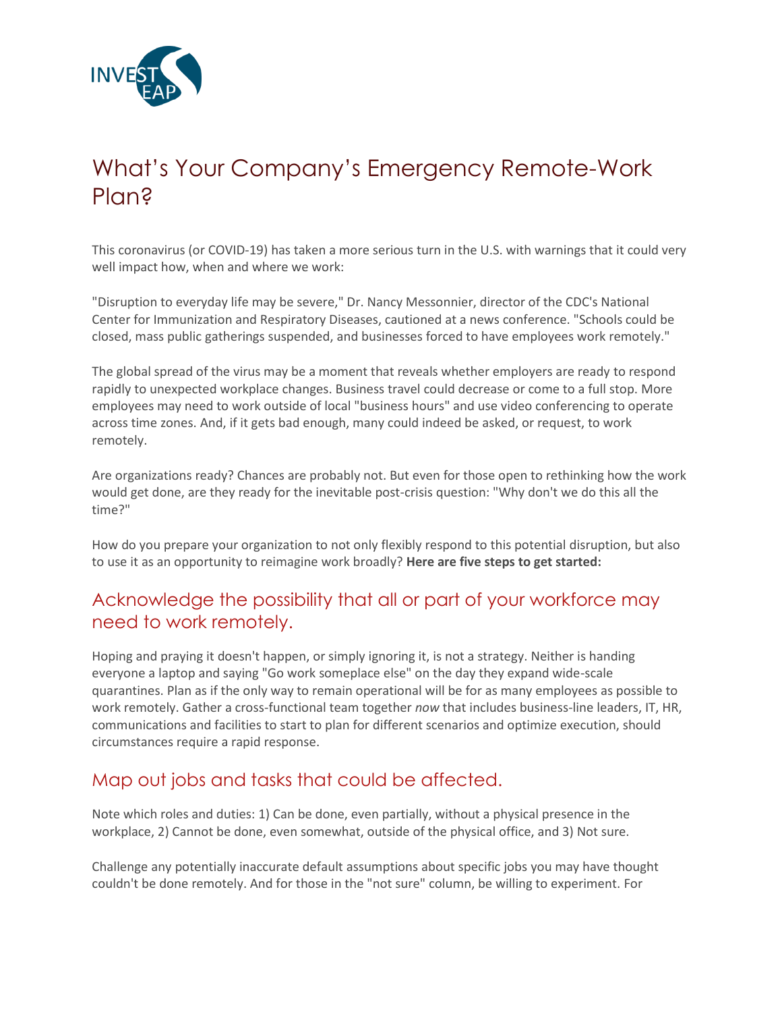

# What's Your Company's Emergency Remote-Work Plan?

This coronavirus (or COVID-19) has taken a more serious turn in the U.S. with warnings that it could very well impact how, when and where we work:

"Disruption to everyday life may be severe," Dr. Nancy Messonnier, director of the CDC's National Center for Immunization and Respiratory Diseases, cautioned at a news conference. "Schools could be closed, mass public gatherings suspended, and businesses forced to have employees work remotely."

The global spread of the virus may be a moment that reveals whether employers are ready to respond rapidly to unexpected workplace changes. Business travel could decrease or come to a full stop. More employees may need to work outside of local "business hours" and use video conferencing to operate across time zones. And, if it gets bad enough, many could indeed be asked, or request, to work remotely.

Are organizations ready? Chances are probably not. But even for those open to rethinking how the work would get done, are they ready for the inevitable post-crisis question: "Why don't we do this all the time?"

How do you prepare your organization to not only flexibly respond to this potential disruption, but also to use it as an opportunity to reimagine work broadly? **Here are five steps to get started:**

### Acknowledge the possibility that all or part of your workforce may need to work remotely.

Hoping and praying it doesn't happen, or simply ignoring it, is not a strategy. Neither is handing everyone a laptop and saying "Go work someplace else" on the day they expand wide-scale quarantines. Plan as if the only way to remain operational will be for as many employees as possible to work remotely. Gather a cross-functional team together *now* that includes business-line leaders, IT, HR, communications and facilities to start to plan for different scenarios and optimize execution, should circumstances require a rapid response.

## Map out jobs and tasks that could be affected.

Note which roles and duties: 1) Can be done, even partially, without a physical presence in the workplace, 2) Cannot be done, even somewhat, outside of the physical office, and 3) Not sure.

Challenge any potentially inaccurate default assumptions about specific jobs you may have thought couldn't be done remotely. And for those in the "not sure" column, be willing to experiment. For